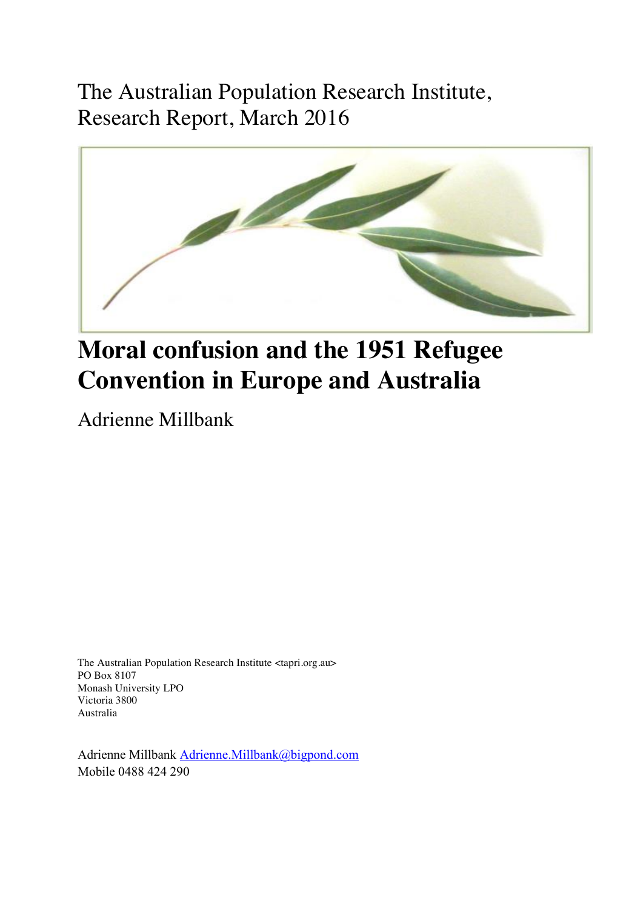The Australian Population Research Institute, Research Report, March 2016



# **Moral confusion and the 1951 Refugee Convention in Europe and Australia**

Adrienne Millbank

The Australian Population Research Institute <tapri.org.au> PO Box 8107 Monash University LPO Victoria 3800 Australia

Adrienne Millbank Adrienne.Millbank@bigpond.com Mobile 0488 424 290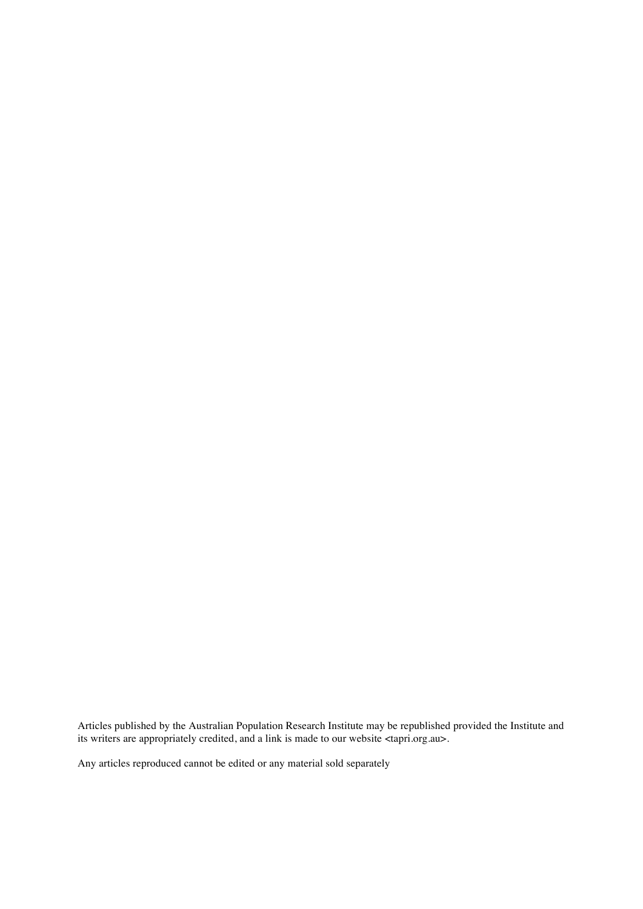Articles published by the Australian Population Research Institute may be republished provided the Institute and its writers are appropriately credited, and a link is made to our website <tapri.org.au>.

Any articles reproduced cannot be edited or any material sold separately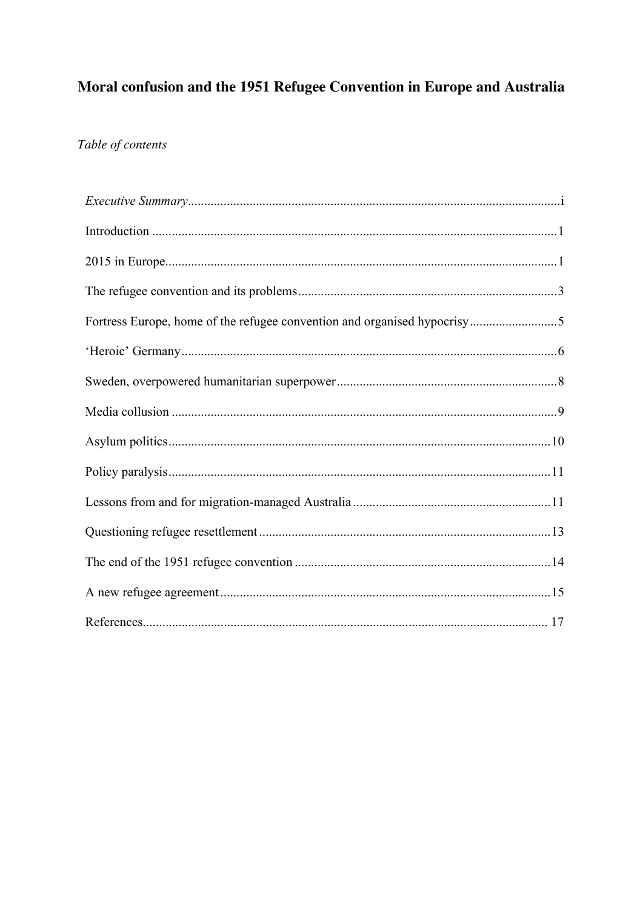# Moral confusion and the 1951 Refugee Convention in Europe and Australia

# Table of contents

| Fortress Europe, home of the refugee convention and organised hypocrisy5 |  |
|--------------------------------------------------------------------------|--|
|                                                                          |  |
|                                                                          |  |
|                                                                          |  |
|                                                                          |  |
|                                                                          |  |
|                                                                          |  |
|                                                                          |  |
|                                                                          |  |
|                                                                          |  |
|                                                                          |  |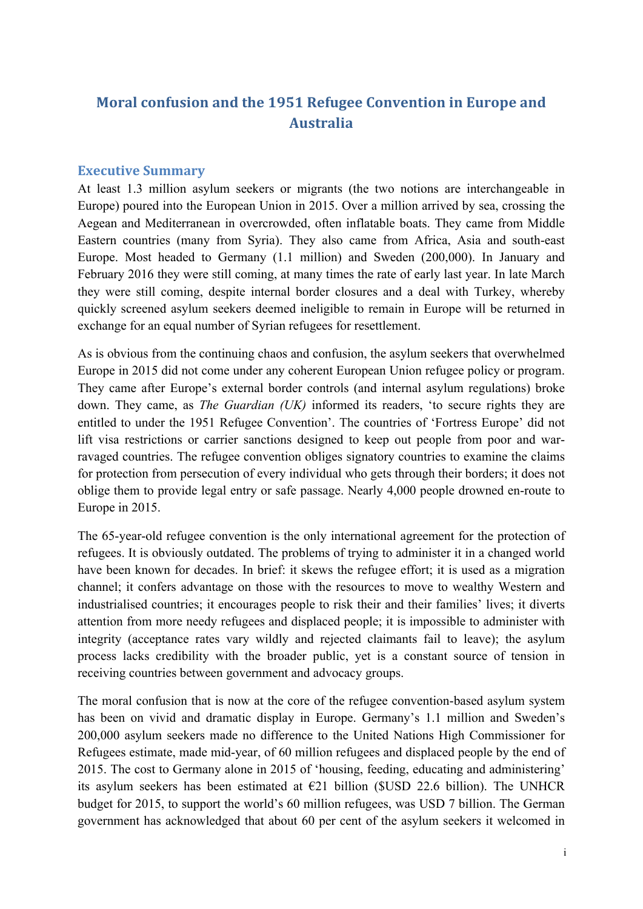# **Moral confusion and the 1951 Refugee Convention in Europe and Australia**

#### **Executive Summary**

At least 1.3 million asylum seekers or migrants (the two notions are interchangeable in Europe) poured into the European Union in 2015. Over a million arrived by sea, crossing the Aegean and Mediterranean in overcrowded, often inflatable boats. They came from Middle Eastern countries (many from Syria). They also came from Africa, Asia and south-east Europe. Most headed to Germany (1.1 million) and Sweden (200,000). In January and February 2016 they were still coming, at many times the rate of early last year. In late March they were still coming, despite internal border closures and a deal with Turkey, whereby quickly screened asylum seekers deemed ineligible to remain in Europe will be returned in exchange for an equal number of Syrian refugees for resettlement.

As is obvious from the continuing chaos and confusion, the asylum seekers that overwhelmed Europe in 2015 did not come under any coherent European Union refugee policy or program. They came after Europe's external border controls (and internal asylum regulations) broke down. They came, as *The Guardian (UK)* informed its readers, 'to secure rights they are entitled to under the 1951 Refugee Convention'. The countries of 'Fortress Europe' did not lift visa restrictions or carrier sanctions designed to keep out people from poor and warravaged countries. The refugee convention obliges signatory countries to examine the claims for protection from persecution of every individual who gets through their borders; it does not oblige them to provide legal entry or safe passage. Nearly 4,000 people drowned en-route to Europe in 2015.

The 65-year-old refugee convention is the only international agreement for the protection of refugees. It is obviously outdated. The problems of trying to administer it in a changed world have been known for decades. In brief: it skews the refugee effort; it is used as a migration channel; it confers advantage on those with the resources to move to wealthy Western and industrialised countries; it encourages people to risk their and their families' lives; it diverts attention from more needy refugees and displaced people; it is impossible to administer with integrity (acceptance rates vary wildly and rejected claimants fail to leave); the asylum process lacks credibility with the broader public, yet is a constant source of tension in receiving countries between government and advocacy groups.

The moral confusion that is now at the core of the refugee convention-based asylum system has been on vivid and dramatic display in Europe. Germany's 1.1 million and Sweden's 200,000 asylum seekers made no difference to the United Nations High Commissioner for Refugees estimate, made mid-year, of 60 million refugees and displaced people by the end of 2015. The cost to Germany alone in 2015 of 'housing, feeding, educating and administering' its asylum seekers has been estimated at  $E$ 21 billion (\$USD 22.6 billion). The UNHCR budget for 2015, to support the world's 60 million refugees, was USD 7 billion. The German government has acknowledged that about 60 per cent of the asylum seekers it welcomed in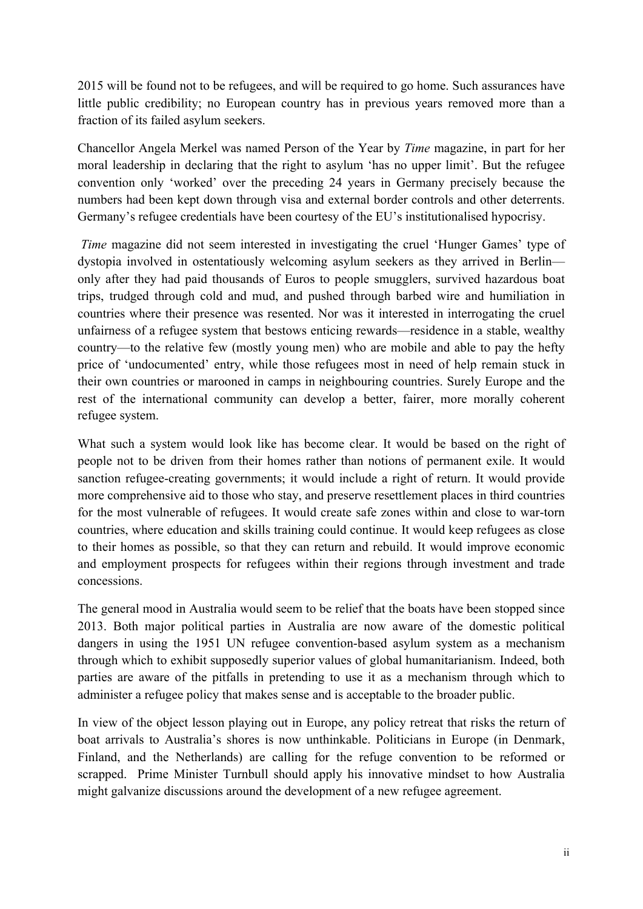2015 will be found not to be refugees, and will be required to go home. Such assurances have little public credibility; no European country has in previous years removed more than a fraction of its failed asylum seekers.

Chancellor Angela Merkel was named Person of the Year by *Time* magazine, in part for her moral leadership in declaring that the right to asylum 'has no upper limit'. But the refugee convention only 'worked' over the preceding 24 years in Germany precisely because the numbers had been kept down through visa and external border controls and other deterrents. Germany's refugee credentials have been courtesy of the EU's institutionalised hypocrisy.

*Time* magazine did not seem interested in investigating the cruel 'Hunger Games' type of dystopia involved in ostentatiously welcoming asylum seekers as they arrived in Berlin only after they had paid thousands of Euros to people smugglers, survived hazardous boat trips, trudged through cold and mud, and pushed through barbed wire and humiliation in countries where their presence was resented. Nor was it interested in interrogating the cruel unfairness of a refugee system that bestows enticing rewards—residence in a stable, wealthy country—to the relative few (mostly young men) who are mobile and able to pay the hefty price of 'undocumented' entry, while those refugees most in need of help remain stuck in their own countries or marooned in camps in neighbouring countries. Surely Europe and the rest of the international community can develop a better, fairer, more morally coherent refugee system.

What such a system would look like has become clear. It would be based on the right of people not to be driven from their homes rather than notions of permanent exile. It would sanction refugee-creating governments; it would include a right of return. It would provide more comprehensive aid to those who stay, and preserve resettlement places in third countries for the most vulnerable of refugees. It would create safe zones within and close to war-torn countries, where education and skills training could continue. It would keep refugees as close to their homes as possible, so that they can return and rebuild. It would improve economic and employment prospects for refugees within their regions through investment and trade concessions.

The general mood in Australia would seem to be relief that the boats have been stopped since 2013. Both major political parties in Australia are now aware of the domestic political dangers in using the 1951 UN refugee convention-based asylum system as a mechanism through which to exhibit supposedly superior values of global humanitarianism. Indeed, both parties are aware of the pitfalls in pretending to use it as a mechanism through which to administer a refugee policy that makes sense and is acceptable to the broader public.

In view of the object lesson playing out in Europe, any policy retreat that risks the return of boat arrivals to Australia's shores is now unthinkable. Politicians in Europe (in Denmark, Finland, and the Netherlands) are calling for the refuge convention to be reformed or scrapped. Prime Minister Turnbull should apply his innovative mindset to how Australia might galvanize discussions around the development of a new refugee agreement.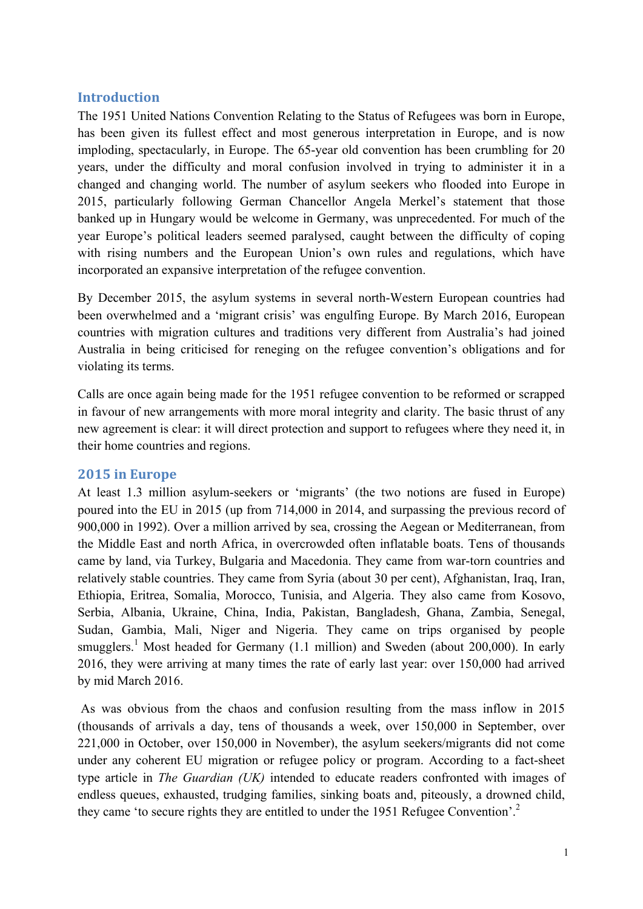### **Introduction**

The 1951 United Nations Convention Relating to the Status of Refugees was born in Europe, has been given its fullest effect and most generous interpretation in Europe, and is now imploding, spectacularly, in Europe. The 65-year old convention has been crumbling for 20 years, under the difficulty and moral confusion involved in trying to administer it in a changed and changing world. The number of asylum seekers who flooded into Europe in 2015, particularly following German Chancellor Angela Merkel's statement that those banked up in Hungary would be welcome in Germany, was unprecedented. For much of the year Europe's political leaders seemed paralysed, caught between the difficulty of coping with rising numbers and the European Union's own rules and regulations, which have incorporated an expansive interpretation of the refugee convention.

By December 2015, the asylum systems in several north-Western European countries had been overwhelmed and a 'migrant crisis' was engulfing Europe. By March 2016, European countries with migration cultures and traditions very different from Australia's had joined Australia in being criticised for reneging on the refugee convention's obligations and for violating its terms.

Calls are once again being made for the 1951 refugee convention to be reformed or scrapped in favour of new arrangements with more moral integrity and clarity. The basic thrust of any new agreement is clear: it will direct protection and support to refugees where they need it, in their home countries and regions.

#### **2015 in Europe**

At least 1.3 million asylum-seekers or 'migrants' (the two notions are fused in Europe) poured into the EU in 2015 (up from 714,000 in 2014, and surpassing the previous record of 900,000 in 1992). Over a million arrived by sea, crossing the Aegean or Mediterranean, from the Middle East and north Africa, in overcrowded often inflatable boats. Tens of thousands came by land, via Turkey, Bulgaria and Macedonia. They came from war-torn countries and relatively stable countries. They came from Syria (about 30 per cent), Afghanistan, Iraq, Iran, Ethiopia, Eritrea, Somalia, Morocco, Tunisia, and Algeria. They also came from Kosovo, Serbia, Albania, Ukraine, China, India, Pakistan, Bangladesh, Ghana, Zambia, Senegal, Sudan, Gambia, Mali, Niger and Nigeria. They came on trips organised by people smugglers.<sup>1</sup> Most headed for Germany  $(1.1 \text{ million})$  and Sweden (about 200,000). In early 2016, they were arriving at many times the rate of early last year: over 150,000 had arrived by mid March 2016.

As was obvious from the chaos and confusion resulting from the mass inflow in 2015 (thousands of arrivals a day, tens of thousands a week, over 150,000 in September, over 221,000 in October, over 150,000 in November), the asylum seekers/migrants did not come under any coherent EU migration or refugee policy or program. According to a fact-sheet type article in *The Guardian (UK)* intended to educate readers confronted with images of endless queues, exhausted, trudging families, sinking boats and, piteously, a drowned child, they came 'to secure rights they are entitled to under the 1951 Refugee Convention'.<sup>2</sup>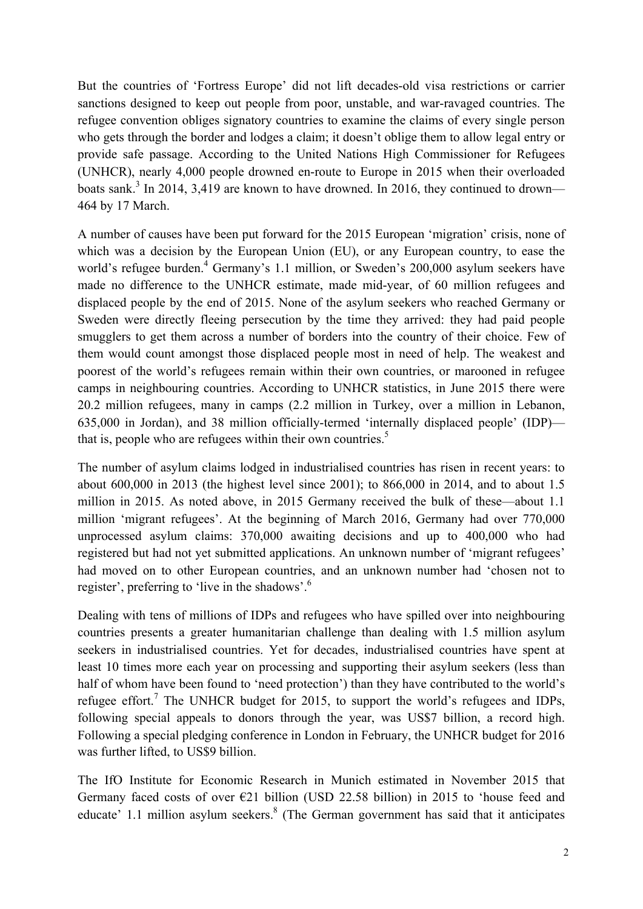But the countries of 'Fortress Europe' did not lift decades-old visa restrictions or carrier sanctions designed to keep out people from poor, unstable, and war-ravaged countries. The refugee convention obliges signatory countries to examine the claims of every single person who gets through the border and lodges a claim; it doesn't oblige them to allow legal entry or provide safe passage. According to the United Nations High Commissioner for Refugees (UNHCR), nearly 4,000 people drowned en-route to Europe in 2015 when their overloaded boats sank.<sup>3</sup> In 2014, 3,419 are known to have drowned. In 2016, they continued to drown— 464 by 17 March.

A number of causes have been put forward for the 2015 European 'migration' crisis, none of which was a decision by the European Union (EU), or any European country, to ease the world's refugee burden.<sup>4</sup> Germany's 1.1 million, or Sweden's 200,000 asylum seekers have made no difference to the UNHCR estimate, made mid-year, of 60 million refugees and displaced people by the end of 2015. None of the asylum seekers who reached Germany or Sweden were directly fleeing persecution by the time they arrived: they had paid people smugglers to get them across a number of borders into the country of their choice. Few of them would count amongst those displaced people most in need of help. The weakest and poorest of the world's refugees remain within their own countries, or marooned in refugee camps in neighbouring countries. According to UNHCR statistics, in June 2015 there were 20.2 million refugees, many in camps (2.2 million in Turkey, over a million in Lebanon, 635,000 in Jordan), and 38 million officially-termed 'internally displaced people' (IDP) that is, people who are refugees within their own countries.<sup>5</sup>

The number of asylum claims lodged in industrialised countries has risen in recent years: to about 600,000 in 2013 (the highest level since 2001); to 866,000 in 2014, and to about 1.5 million in 2015. As noted above, in 2015 Germany received the bulk of these—about 1.1 million 'migrant refugees'. At the beginning of March 2016, Germany had over 770,000 unprocessed asylum claims: 370,000 awaiting decisions and up to 400,000 who had registered but had not yet submitted applications. An unknown number of 'migrant refugees' had moved on to other European countries, and an unknown number had 'chosen not to register', preferring to 'live in the shadows'.<sup>6</sup>

Dealing with tens of millions of IDPs and refugees who have spilled over into neighbouring countries presents a greater humanitarian challenge than dealing with 1.5 million asylum seekers in industrialised countries. Yet for decades, industrialised countries have spent at least 10 times more each year on processing and supporting their asylum seekers (less than half of whom have been found to 'need protection') than they have contributed to the world's refugee effort.<sup>7</sup> The UNHCR budget for 2015, to support the world's refugees and IDPs, following special appeals to donors through the year, was US\$7 billion, a record high. Following a special pledging conference in London in February, the UNHCR budget for 2016 was further lifted, to US\$9 billion.

The IfO Institute for Economic Research in Munich estimated in November 2015 that Germany faced costs of over  $E21$  billion (USD 22.58 billion) in 2015 to 'house feed and educate' 1.1 million asylum seekers. $8$  (The German government has said that it anticipates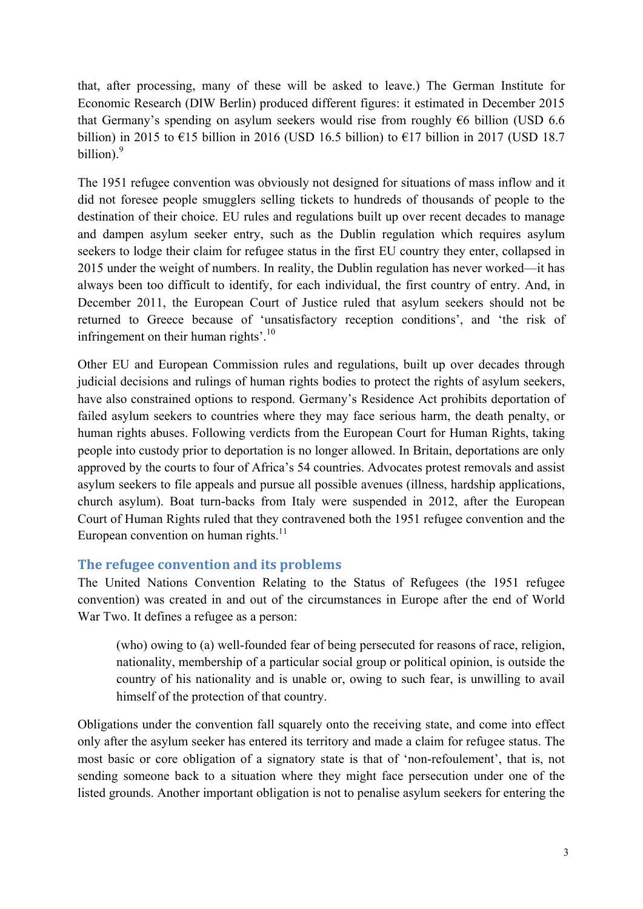that, after processing, many of these will be asked to leave.) The German Institute for Economic Research (DIW Berlin) produced different figures: it estimated in December 2015 that Germany's spending on asylum seekers would rise from roughly  $\epsilon$ 6 billion (USD 6.6) billion) in 2015 to  $\epsilon$ 15 billion in 2016 (USD 16.5 billion) to  $\epsilon$ 17 billion in 2017 (USD 18.7 billion). $9$ 

The 1951 refugee convention was obviously not designed for situations of mass inflow and it did not foresee people smugglers selling tickets to hundreds of thousands of people to the destination of their choice. EU rules and regulations built up over recent decades to manage and dampen asylum seeker entry, such as the Dublin regulation which requires asylum seekers to lodge their claim for refugee status in the first EU country they enter, collapsed in 2015 under the weight of numbers. In reality, the Dublin regulation has never worked—it has always been too difficult to identify, for each individual, the first country of entry. And, in December 2011, the European Court of Justice ruled that asylum seekers should not be returned to Greece because of 'unsatisfactory reception conditions', and 'the risk of infringement on their human rights'.<sup>10</sup>

Other EU and European Commission rules and regulations, built up over decades through judicial decisions and rulings of human rights bodies to protect the rights of asylum seekers, have also constrained options to respond. Germany's Residence Act prohibits deportation of failed asylum seekers to countries where they may face serious harm, the death penalty, or human rights abuses. Following verdicts from the European Court for Human Rights, taking people into custody prior to deportation is no longer allowed. In Britain, deportations are only approved by the courts to four of Africa's 54 countries. Advocates protest removals and assist asylum seekers to file appeals and pursue all possible avenues (illness, hardship applications, church asylum). Boat turn-backs from Italy were suspended in 2012, after the European Court of Human Rights ruled that they contravened both the 1951 refugee convention and the European convention on human rights. $11$ 

# **The refugee convention and its problems**

The United Nations Convention Relating to the Status of Refugees (the 1951 refugee convention) was created in and out of the circumstances in Europe after the end of World War Two. It defines a refugee as a person:

(who) owing to (a) well-founded fear of being persecuted for reasons of race, religion, nationality, membership of a particular social group or political opinion, is outside the country of his nationality and is unable or, owing to such fear, is unwilling to avail himself of the protection of that country.

Obligations under the convention fall squarely onto the receiving state, and come into effect only after the asylum seeker has entered its territory and made a claim for refugee status. The most basic or core obligation of a signatory state is that of 'non-refoulement', that is, not sending someone back to a situation where they might face persecution under one of the listed grounds. Another important obligation is not to penalise asylum seekers for entering the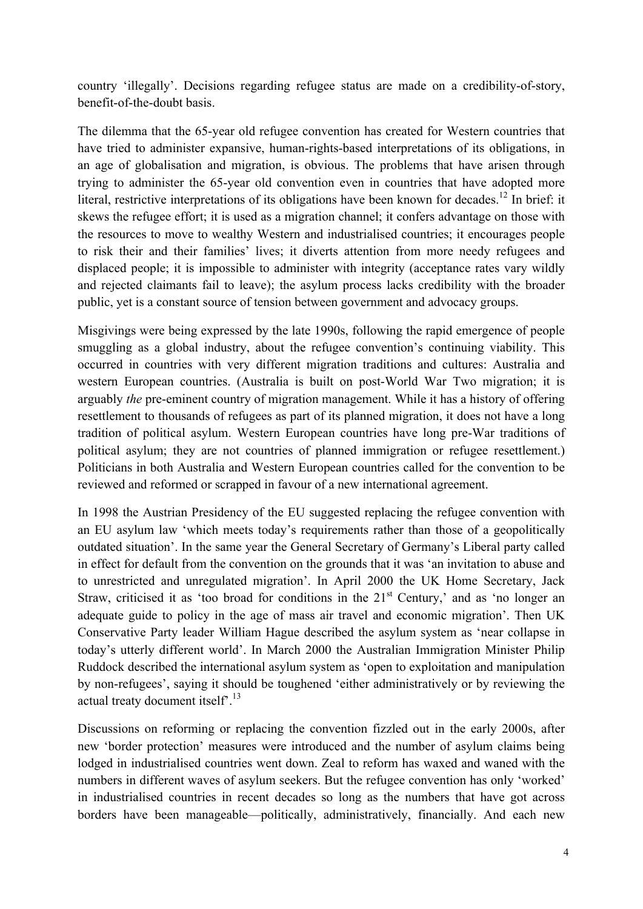country 'illegally'. Decisions regarding refugee status are made on a credibility-of-story, benefit-of-the-doubt basis.

The dilemma that the 65-year old refugee convention has created for Western countries that have tried to administer expansive, human-rights-based interpretations of its obligations, in an age of globalisation and migration, is obvious. The problems that have arisen through trying to administer the 65-year old convention even in countries that have adopted more literal, restrictive interpretations of its obligations have been known for decades.<sup>12</sup> In brief: it skews the refugee effort; it is used as a migration channel; it confers advantage on those with the resources to move to wealthy Western and industrialised countries; it encourages people to risk their and their families' lives; it diverts attention from more needy refugees and displaced people; it is impossible to administer with integrity (acceptance rates vary wildly and rejected claimants fail to leave); the asylum process lacks credibility with the broader public, yet is a constant source of tension between government and advocacy groups.

Misgivings were being expressed by the late 1990s, following the rapid emergence of people smuggling as a global industry, about the refugee convention's continuing viability. This occurred in countries with very different migration traditions and cultures: Australia and western European countries. (Australia is built on post-World War Two migration; it is arguably *the* pre-eminent country of migration management. While it has a history of offering resettlement to thousands of refugees as part of its planned migration, it does not have a long tradition of political asylum. Western European countries have long pre-War traditions of political asylum; they are not countries of planned immigration or refugee resettlement.) Politicians in both Australia and Western European countries called for the convention to be reviewed and reformed or scrapped in favour of a new international agreement.

In 1998 the Austrian Presidency of the EU suggested replacing the refugee convention with an EU asylum law 'which meets today's requirements rather than those of a geopolitically outdated situation'. In the same year the General Secretary of Germany's Liberal party called in effect for default from the convention on the grounds that it was 'an invitation to abuse and to unrestricted and unregulated migration'. In April 2000 the UK Home Secretary, Jack Straw, criticised it as 'too broad for conditions in the  $21<sup>st</sup>$  Century,' and as 'no longer an adequate guide to policy in the age of mass air travel and economic migration'. Then UK Conservative Party leader William Hague described the asylum system as 'near collapse in today's utterly different world'. In March 2000 the Australian Immigration Minister Philip Ruddock described the international asylum system as 'open to exploitation and manipulation by non-refugees', saying it should be toughened 'either administratively or by reviewing the actual treaty document itself<sup>7</sup>.<sup>13</sup>

Discussions on reforming or replacing the convention fizzled out in the early 2000s, after new 'border protection' measures were introduced and the number of asylum claims being lodged in industrialised countries went down. Zeal to reform has waxed and waned with the numbers in different waves of asylum seekers. But the refugee convention has only 'worked' in industrialised countries in recent decades so long as the numbers that have got across borders have been manageable—politically, administratively, financially. And each new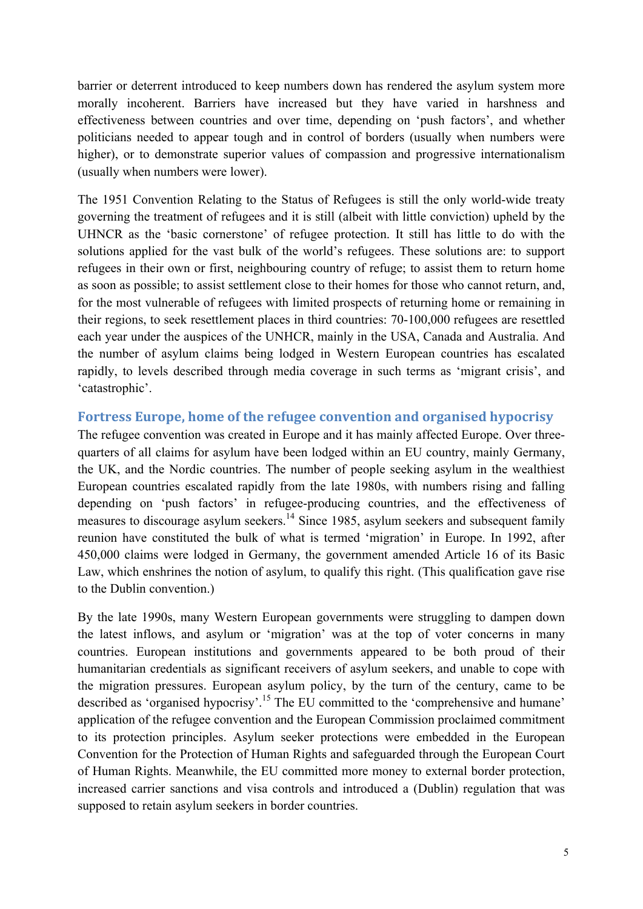barrier or deterrent introduced to keep numbers down has rendered the asylum system more morally incoherent. Barriers have increased but they have varied in harshness and effectiveness between countries and over time, depending on 'push factors', and whether politicians needed to appear tough and in control of borders (usually when numbers were higher), or to demonstrate superior values of compassion and progressive internationalism (usually when numbers were lower).

The 1951 Convention Relating to the Status of Refugees is still the only world-wide treaty governing the treatment of refugees and it is still (albeit with little conviction) upheld by the UHNCR as the 'basic cornerstone' of refugee protection. It still has little to do with the solutions applied for the vast bulk of the world's refugees. These solutions are: to support refugees in their own or first, neighbouring country of refuge; to assist them to return home as soon as possible; to assist settlement close to their homes for those who cannot return, and, for the most vulnerable of refugees with limited prospects of returning home or remaining in their regions, to seek resettlement places in third countries: 70-100,000 refugees are resettled each year under the auspices of the UNHCR, mainly in the USA, Canada and Australia. And the number of asylum claims being lodged in Western European countries has escalated rapidly, to levels described through media coverage in such terms as 'migrant crisis', and 'catastrophic'.

#### **Fortress Europe, home of the refugee convention and organised hypocrisy**

The refugee convention was created in Europe and it has mainly affected Europe. Over threequarters of all claims for asylum have been lodged within an EU country, mainly Germany, the UK, and the Nordic countries. The number of people seeking asylum in the wealthiest European countries escalated rapidly from the late 1980s, with numbers rising and falling depending on 'push factors' in refugee-producing countries, and the effectiveness of measures to discourage asylum seekers.<sup>14</sup> Since 1985, asylum seekers and subsequent family reunion have constituted the bulk of what is termed 'migration' in Europe. In 1992, after 450,000 claims were lodged in Germany, the government amended Article 16 of its Basic Law, which enshrines the notion of asylum, to qualify this right. (This qualification gave rise to the Dublin convention.)

By the late 1990s, many Western European governments were struggling to dampen down the latest inflows, and asylum or 'migration' was at the top of voter concerns in many countries. European institutions and governments appeared to be both proud of their humanitarian credentials as significant receivers of asylum seekers, and unable to cope with the migration pressures. European asylum policy, by the turn of the century, came to be described as 'organised hypocrisy'.<sup>15</sup> The EU committed to the 'comprehensive and humane' application of the refugee convention and the European Commission proclaimed commitment to its protection principles. Asylum seeker protections were embedded in the European Convention for the Protection of Human Rights and safeguarded through the European Court of Human Rights. Meanwhile, the EU committed more money to external border protection, increased carrier sanctions and visa controls and introduced a (Dublin) regulation that was supposed to retain asylum seekers in border countries.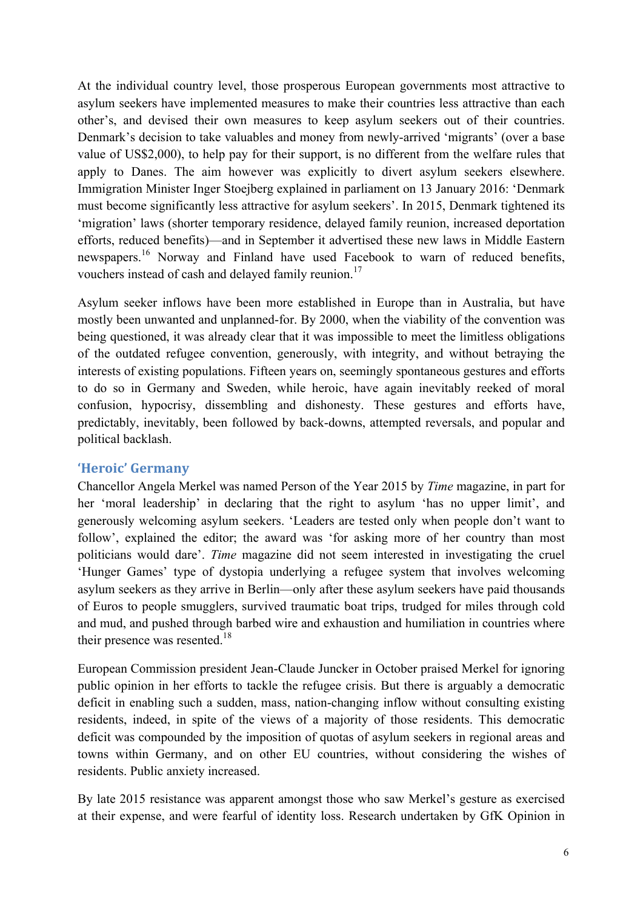At the individual country level, those prosperous European governments most attractive to asylum seekers have implemented measures to make their countries less attractive than each other's, and devised their own measures to keep asylum seekers out of their countries. Denmark's decision to take valuables and money from newly-arrived 'migrants' (over a base value of US\$2,000), to help pay for their support, is no different from the welfare rules that apply to Danes. The aim however was explicitly to divert asylum seekers elsewhere. Immigration Minister Inger Stoejberg explained in parliament on 13 January 2016: 'Denmark must become significantly less attractive for asylum seekers'. In 2015, Denmark tightened its 'migration' laws (shorter temporary residence, delayed family reunion, increased deportation efforts, reduced benefits)—and in September it advertised these new laws in Middle Eastern newspapers.<sup>16</sup> Norway and Finland have used Facebook to warn of reduced benefits, vouchers instead of cash and delayed family reunion.<sup>17</sup>

Asylum seeker inflows have been more established in Europe than in Australia, but have mostly been unwanted and unplanned-for. By 2000, when the viability of the convention was being questioned, it was already clear that it was impossible to meet the limitless obligations of the outdated refugee convention, generously, with integrity, and without betraying the interests of existing populations. Fifteen years on, seemingly spontaneous gestures and efforts to do so in Germany and Sweden, while heroic, have again inevitably reeked of moral confusion, hypocrisy, dissembling and dishonesty. These gestures and efforts have, predictably, inevitably, been followed by back-downs, attempted reversals, and popular and political backlash.

#### **'Heroic' Germany**

Chancellor Angela Merkel was named Person of the Year 2015 by *Time* magazine, in part for her 'moral leadership' in declaring that the right to asylum 'has no upper limit', and generously welcoming asylum seekers. 'Leaders are tested only when people don't want to follow', explained the editor; the award was 'for asking more of her country than most politicians would dare'. *Time* magazine did not seem interested in investigating the cruel 'Hunger Games' type of dystopia underlying a refugee system that involves welcoming asylum seekers as they arrive in Berlin—only after these asylum seekers have paid thousands of Euros to people smugglers, survived traumatic boat trips, trudged for miles through cold and mud, and pushed through barbed wire and exhaustion and humiliation in countries where their presence was resented. $18$ 

European Commission president Jean-Claude Juncker in October praised Merkel for ignoring public opinion in her efforts to tackle the refugee crisis. But there is arguably a democratic deficit in enabling such a sudden, mass, nation-changing inflow without consulting existing residents, indeed, in spite of the views of a majority of those residents. This democratic deficit was compounded by the imposition of quotas of asylum seekers in regional areas and towns within Germany, and on other EU countries, without considering the wishes of residents. Public anxiety increased.

By late 2015 resistance was apparent amongst those who saw Merkel's gesture as exercised at their expense, and were fearful of identity loss. Research undertaken by GfK Opinion in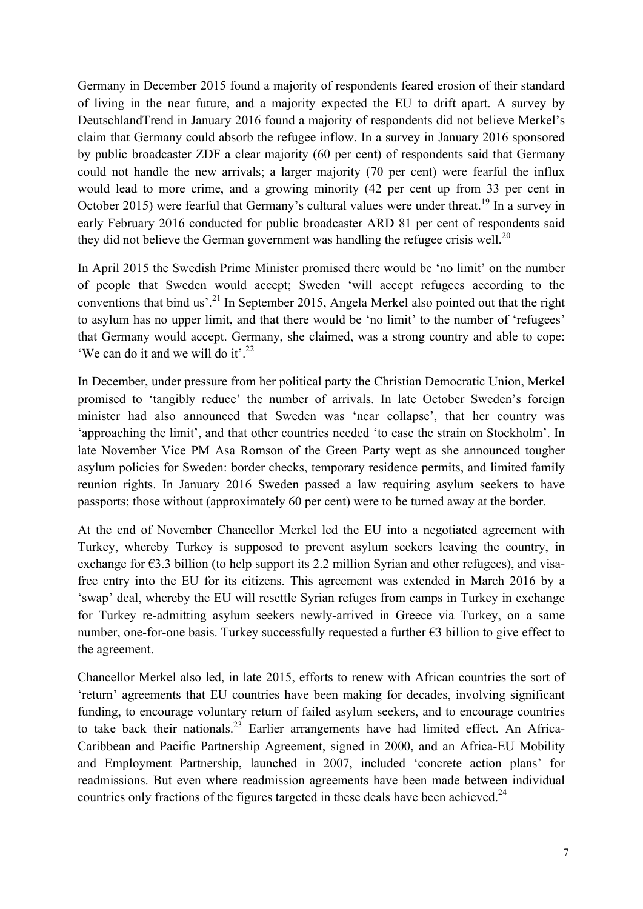Germany in December 2015 found a majority of respondents feared erosion of their standard of living in the near future, and a majority expected the EU to drift apart. A survey by DeutschlandTrend in January 2016 found a majority of respondents did not believe Merkel's claim that Germany could absorb the refugee inflow. In a survey in January 2016 sponsored by public broadcaster ZDF a clear majority (60 per cent) of respondents said that Germany could not handle the new arrivals; a larger majority (70 per cent) were fearful the influx would lead to more crime, and a growing minority (42 per cent up from 33 per cent in October 2015) were fearful that Germany's cultural values were under threat.<sup>19</sup> In a survey in early February 2016 conducted for public broadcaster ARD 81 per cent of respondents said they did not believe the German government was handling the refugee crisis well.<sup>20</sup>

In April 2015 the Swedish Prime Minister promised there would be 'no limit' on the number of people that Sweden would accept; Sweden 'will accept refugees according to the conventions that bind us'.<sup>21</sup> In September 2015, Angela Merkel also pointed out that the right to asylum has no upper limit, and that there would be 'no limit' to the number of 'refugees' that Germany would accept. Germany, she claimed, was a strong country and able to cope: 'We can do it and we will do it'.<sup>22</sup>

In December, under pressure from her political party the Christian Democratic Union, Merkel promised to 'tangibly reduce' the number of arrivals. In late October Sweden's foreign minister had also announced that Sweden was 'near collapse', that her country was 'approaching the limit', and that other countries needed 'to ease the strain on Stockholm'. In late November Vice PM Asa Romson of the Green Party wept as she announced tougher asylum policies for Sweden: border checks, temporary residence permits, and limited family reunion rights. In January 2016 Sweden passed a law requiring asylum seekers to have passports; those without (approximately 60 per cent) were to be turned away at the border.

At the end of November Chancellor Merkel led the EU into a negotiated agreement with Turkey, whereby Turkey is supposed to prevent asylum seekers leaving the country, in exchange for  $\epsilon$ 3.3 billion (to help support its 2.2 million Syrian and other refugees), and visafree entry into the EU for its citizens. This agreement was extended in March 2016 by a 'swap' deal, whereby the EU will resettle Syrian refuges from camps in Turkey in exchange for Turkey re-admitting asylum seekers newly-arrived in Greece via Turkey, on a same number, one-for-one basis. Turkey successfully requested a further  $\epsilon$ 3 billion to give effect to the agreement.

Chancellor Merkel also led, in late 2015, efforts to renew with African countries the sort of 'return' agreements that EU countries have been making for decades, involving significant funding, to encourage voluntary return of failed asylum seekers, and to encourage countries to take back their nationals.<sup>23</sup> Earlier arrangements have had limited effect. An Africa-Caribbean and Pacific Partnership Agreement, signed in 2000, and an Africa-EU Mobility and Employment Partnership, launched in 2007, included 'concrete action plans' for readmissions. But even where readmission agreements have been made between individual countries only fractions of the figures targeted in these deals have been achieved.<sup>24</sup>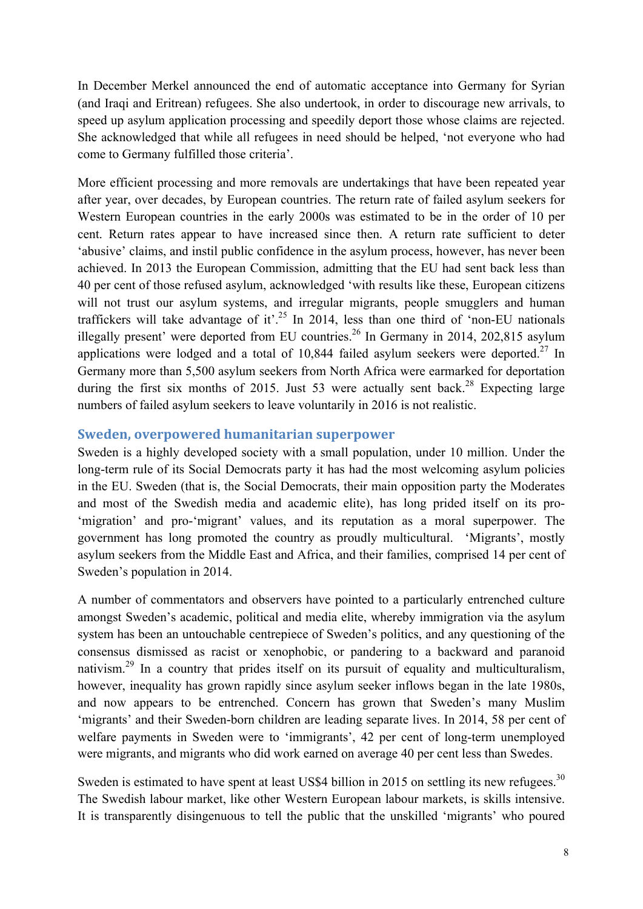In December Merkel announced the end of automatic acceptance into Germany for Syrian (and Iraqi and Eritrean) refugees. She also undertook, in order to discourage new arrivals, to speed up asylum application processing and speedily deport those whose claims are rejected. She acknowledged that while all refugees in need should be helped, 'not everyone who had come to Germany fulfilled those criteria'.

More efficient processing and more removals are undertakings that have been repeated year after year, over decades, by European countries. The return rate of failed asylum seekers for Western European countries in the early 2000s was estimated to be in the order of 10 per cent. Return rates appear to have increased since then. A return rate sufficient to deter 'abusive' claims, and instil public confidence in the asylum process, however, has never been achieved. In 2013 the European Commission, admitting that the EU had sent back less than 40 per cent of those refused asylum, acknowledged 'with results like these, European citizens will not trust our asylum systems, and irregular migrants, people smugglers and human traffickers will take advantage of it'.<sup>25</sup> In 2014, less than one third of 'non-EU nationals' illegally present' were deported from EU countries.<sup>26</sup> In Germany in 2014, 202,815 asylum applications were lodged and a total of  $10,844$  failed asylum seekers were deported.<sup>27</sup> In Germany more than 5,500 asylum seekers from North Africa were earmarked for deportation during the first six months of 2015. Just 53 were actually sent back.<sup>28</sup> Expecting large numbers of failed asylum seekers to leave voluntarily in 2016 is not realistic.

#### **Sweden, overpowered humanitarian superpower**

Sweden is a highly developed society with a small population, under 10 million. Under the long-term rule of its Social Democrats party it has had the most welcoming asylum policies in the EU. Sweden (that is, the Social Democrats, their main opposition party the Moderates and most of the Swedish media and academic elite), has long prided itself on its pro- 'migration' and pro-'migrant' values, and its reputation as a moral superpower. The government has long promoted the country as proudly multicultural. 'Migrants', mostly asylum seekers from the Middle East and Africa, and their families, comprised 14 per cent of Sweden's population in 2014.

A number of commentators and observers have pointed to a particularly entrenched culture amongst Sweden's academic, political and media elite, whereby immigration via the asylum system has been an untouchable centrepiece of Sweden's politics, and any questioning of the consensus dismissed as racist or xenophobic, or pandering to a backward and paranoid nativism.<sup>29</sup> In a country that prides itself on its pursuit of equality and multiculturalism, however, inequality has grown rapidly since asylum seeker inflows began in the late 1980s, and now appears to be entrenched. Concern has grown that Sweden's many Muslim 'migrants' and their Sweden-born children are leading separate lives. In 2014, 58 per cent of welfare payments in Sweden were to 'immigrants', 42 per cent of long-term unemployed were migrants, and migrants who did work earned on average 40 per cent less than Swedes.

Sweden is estimated to have spent at least US\$4 billion in 2015 on settling its new refugees.<sup>30</sup> The Swedish labour market, like other Western European labour markets, is skills intensive. It is transparently disingenuous to tell the public that the unskilled 'migrants' who poured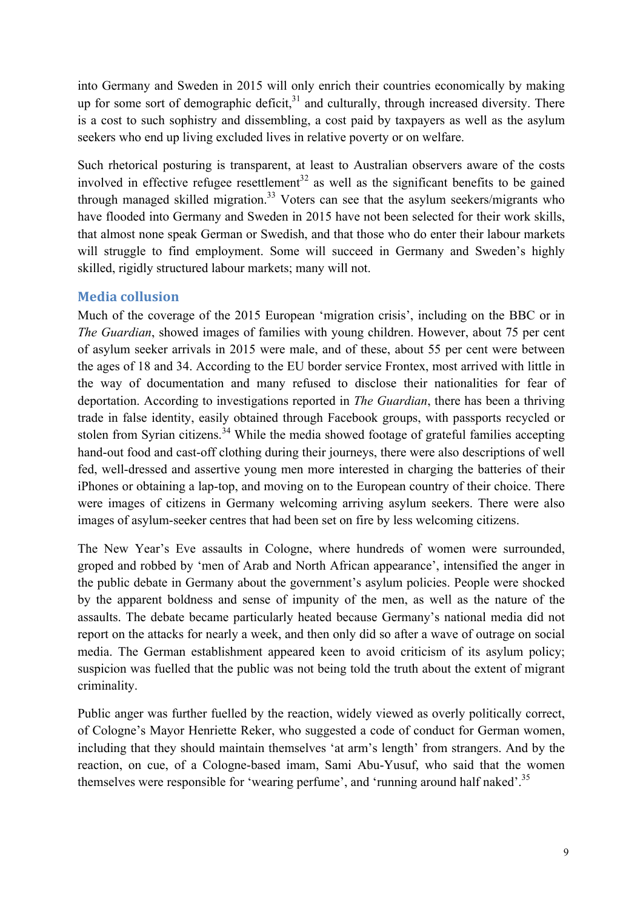into Germany and Sweden in 2015 will only enrich their countries economically by making up for some sort of demographic deficit, $3<sup>1</sup>$  and culturally, through increased diversity. There is a cost to such sophistry and dissembling, a cost paid by taxpayers as well as the asylum seekers who end up living excluded lives in relative poverty or on welfare.

Such rhetorical posturing is transparent, at least to Australian observers aware of the costs involved in effective refugee resettlement<sup>32</sup> as well as the significant benefits to be gained through managed skilled migration.<sup>33</sup> Voters can see that the asylum seekers/migrants who have flooded into Germany and Sweden in 2015 have not been selected for their work skills, that almost none speak German or Swedish, and that those who do enter their labour markets will struggle to find employment. Some will succeed in Germany and Sweden's highly skilled, rigidly structured labour markets; many will not.

### **Media collusion**

Much of the coverage of the 2015 European 'migration crisis', including on the BBC or in *The Guardian*, showed images of families with young children. However, about 75 per cent of asylum seeker arrivals in 2015 were male, and of these, about 55 per cent were between the ages of 18 and 34. According to the EU border service Frontex, most arrived with little in the way of documentation and many refused to disclose their nationalities for fear of deportation. According to investigations reported in *The Guardian*, there has been a thriving trade in false identity, easily obtained through Facebook groups, with passports recycled or stolen from Syrian citizens.<sup>34</sup> While the media showed footage of grateful families accepting hand-out food and cast-off clothing during their journeys, there were also descriptions of well fed, well-dressed and assertive young men more interested in charging the batteries of their iPhones or obtaining a lap-top, and moving on to the European country of their choice. There were images of citizens in Germany welcoming arriving asylum seekers. There were also images of asylum-seeker centres that had been set on fire by less welcoming citizens.

The New Year's Eve assaults in Cologne, where hundreds of women were surrounded, groped and robbed by 'men of Arab and North African appearance', intensified the anger in the public debate in Germany about the government's asylum policies. People were shocked by the apparent boldness and sense of impunity of the men, as well as the nature of the assaults. The debate became particularly heated because Germany's national media did not report on the attacks for nearly a week, and then only did so after a wave of outrage on social media. The German establishment appeared keen to avoid criticism of its asylum policy; suspicion was fuelled that the public was not being told the truth about the extent of migrant criminality.

Public anger was further fuelled by the reaction, widely viewed as overly politically correct, of Cologne's Mayor Henriette Reker, who suggested a code of conduct for German women, including that they should maintain themselves 'at arm's length' from strangers. And by the reaction, on cue, of a Cologne-based imam, Sami Abu-Yusuf, who said that the women themselves were responsible for 'wearing perfume', and 'running around half naked'.<sup>35</sup>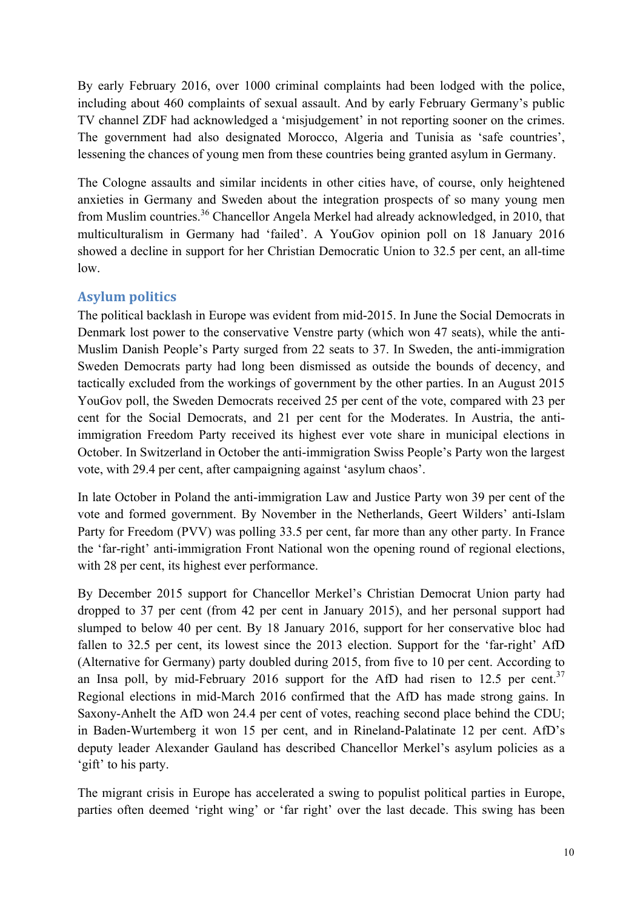By early February 2016, over 1000 criminal complaints had been lodged with the police, including about 460 complaints of sexual assault. And by early February Germany's public TV channel ZDF had acknowledged a 'misjudgement' in not reporting sooner on the crimes. The government had also designated Morocco, Algeria and Tunisia as 'safe countries', lessening the chances of young men from these countries being granted asylum in Germany.

The Cologne assaults and similar incidents in other cities have, of course, only heightened anxieties in Germany and Sweden about the integration prospects of so many young men from Muslim countries.<sup>36</sup> Chancellor Angela Merkel had already acknowledged, in 2010, that multiculturalism in Germany had 'failed'. A YouGov opinion poll on 18 January 2016 showed a decline in support for her Christian Democratic Union to 32.5 per cent, an all-time low.

# **Asylum politics**

The political backlash in Europe was evident from mid-2015. In June the Social Democrats in Denmark lost power to the conservative Venstre party (which won 47 seats), while the anti-Muslim Danish People's Party surged from 22 seats to 37. In Sweden, the anti-immigration Sweden Democrats party had long been dismissed as outside the bounds of decency, and tactically excluded from the workings of government by the other parties. In an August 2015 YouGov poll, the Sweden Democrats received 25 per cent of the vote, compared with 23 per cent for the Social Democrats, and 21 per cent for the Moderates. In Austria, the antiimmigration Freedom Party received its highest ever vote share in municipal elections in October. In Switzerland in October the anti-immigration Swiss People's Party won the largest vote, with 29.4 per cent, after campaigning against 'asylum chaos'.

In late October in Poland the anti-immigration Law and Justice Party won 39 per cent of the vote and formed government. By November in the Netherlands, Geert Wilders' anti-Islam Party for Freedom (PVV) was polling 33.5 per cent, far more than any other party. In France the 'far-right' anti-immigration Front National won the opening round of regional elections, with 28 per cent, its highest ever performance.

By December 2015 support for Chancellor Merkel's Christian Democrat Union party had dropped to 37 per cent (from 42 per cent in January 2015), and her personal support had slumped to below 40 per cent. By 18 January 2016, support for her conservative bloc had fallen to 32.5 per cent, its lowest since the 2013 election. Support for the 'far-right' AfD (Alternative for Germany) party doubled during 2015, from five to 10 per cent. According to an Insa poll, by mid-February 2016 support for the AfD had risen to 12.5 per cent.<sup>37</sup> Regional elections in mid-March 2016 confirmed that the AfD has made strong gains. In Saxony-Anhelt the AfD won 24.4 per cent of votes, reaching second place behind the CDU; in Baden-Wurtemberg it won 15 per cent, and in Rineland-Palatinate 12 per cent. AfD's deputy leader Alexander Gauland has described Chancellor Merkel's asylum policies as a 'gift' to his party.

The migrant crisis in Europe has accelerated a swing to populist political parties in Europe, parties often deemed 'right wing' or 'far right' over the last decade. This swing has been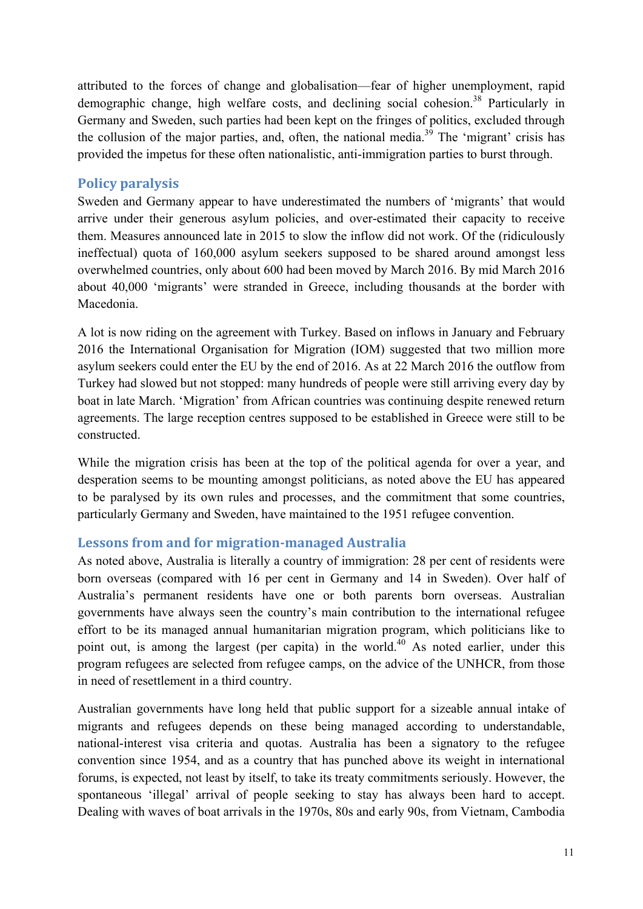attributed to the forces of change and globalisation—fear of higher unemployment, rapid demographic change, high welfare costs, and declining social cohesion.<sup>38</sup> Particularly in Germany and Sweden, such parties had been kept on the fringes of politics, excluded through the collusion of the major parties, and, often, the national media.<sup>39</sup> The 'migrant' crisis has provided the impetus for these often nationalistic, anti-immigration parties to burst through.

# **Policy paralysis**

Sweden and Germany appear to have underestimated the numbers of 'migrants' that would arrive under their generous asylum policies, and over-estimated their capacity to receive them. Measures announced late in 2015 to slow the inflow did not work. Of the (ridiculously ineffectual) quota of 160,000 asylum seekers supposed to be shared around amongst less overwhelmed countries, only about 600 had been moved by March 2016. By mid March 2016 about 40,000 'migrants' were stranded in Greece, including thousands at the border with Macedonia.

A lot is now riding on the agreement with Turkey. Based on inflows in January and February 2016 the International Organisation for Migration (IOM) suggested that two million more asylum seekers could enter the EU by the end of 2016. As at 22 March 2016 the outflow from Turkey had slowed but not stopped: many hundreds of people were still arriving every day by boat in late March. 'Migration' from African countries was continuing despite renewed return agreements. The large reception centres supposed to be established in Greece were still to be constructed.

While the migration crisis has been at the top of the political agenda for over a year, and desperation seems to be mounting amongst politicians, as noted above the EU has appeared to be paralysed by its own rules and processes, and the commitment that some countries, particularly Germany and Sweden, have maintained to the 1951 refugee convention.

# **Lessons from and for migration-managed Australia**

As noted above, Australia is literally a country of immigration: 28 per cent of residents were born overseas (compared with 16 per cent in Germany and 14 in Sweden). Over half of Australia's permanent residents have one or both parents born overseas. Australian governments have always seen the country's main contribution to the international refugee effort to be its managed annual humanitarian migration program, which politicians like to point out, is among the largest (per capita) in the world.<sup>40</sup> As noted earlier, under this program refugees are selected from refugee camps, on the advice of the UNHCR, from those in need of resettlement in a third country.

Australian governments have long held that public support for a sizeable annual intake of migrants and refugees depends on these being managed according to understandable, national-interest visa criteria and quotas. Australia has been a signatory to the refugee convention since 1954, and as a country that has punched above its weight in international forums, is expected, not least by itself, to take its treaty commitments seriously. However, the spontaneous 'illegal' arrival of people seeking to stay has always been hard to accept. Dealing with waves of boat arrivals in the 1970s, 80s and early 90s, from Vietnam, Cambodia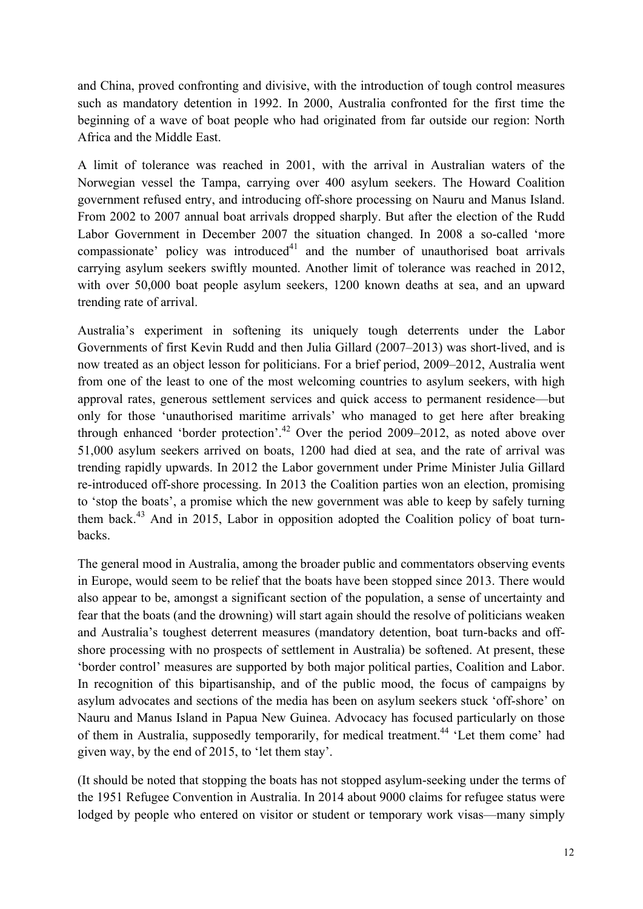and China, proved confronting and divisive, with the introduction of tough control measures such as mandatory detention in 1992. In 2000, Australia confronted for the first time the beginning of a wave of boat people who had originated from far outside our region: North Africa and the Middle East.

A limit of tolerance was reached in 2001, with the arrival in Australian waters of the Norwegian vessel the Tampa, carrying over 400 asylum seekers. The Howard Coalition government refused entry, and introducing off-shore processing on Nauru and Manus Island. From 2002 to 2007 annual boat arrivals dropped sharply. But after the election of the Rudd Labor Government in December 2007 the situation changed. In 2008 a so-called 'more compassionate' policy was introduced<sup>41</sup> and the number of unauthorised boat arrivals carrying asylum seekers swiftly mounted. Another limit of tolerance was reached in 2012, with over 50,000 boat people asylum seekers, 1200 known deaths at sea, and an upward trending rate of arrival.

Australia's experiment in softening its uniquely tough deterrents under the Labor Governments of first Kevin Rudd and then Julia Gillard (2007–2013) was short-lived, and is now treated as an object lesson for politicians. For a brief period, 2009–2012, Australia went from one of the least to one of the most welcoming countries to asylum seekers, with high approval rates, generous settlement services and quick access to permanent residence—but only for those 'unauthorised maritime arrivals' who managed to get here after breaking through enhanced 'border protection'.<sup>42</sup> Over the period 2009–2012, as noted above over 51,000 asylum seekers arrived on boats, 1200 had died at sea, and the rate of arrival was trending rapidly upwards. In 2012 the Labor government under Prime Minister Julia Gillard re-introduced off-shore processing. In 2013 the Coalition parties won an election, promising to 'stop the boats', a promise which the new government was able to keep by safely turning them back.<sup>43</sup> And in 2015, Labor in opposition adopted the Coalition policy of boat turnbacks.

The general mood in Australia, among the broader public and commentators observing events in Europe, would seem to be relief that the boats have been stopped since 2013. There would also appear to be, amongst a significant section of the population, a sense of uncertainty and fear that the boats (and the drowning) will start again should the resolve of politicians weaken and Australia's toughest deterrent measures (mandatory detention, boat turn-backs and offshore processing with no prospects of settlement in Australia) be softened. At present, these 'border control' measures are supported by both major political parties, Coalition and Labor. In recognition of this bipartisanship, and of the public mood, the focus of campaigns by asylum advocates and sections of the media has been on asylum seekers stuck 'off-shore' on Nauru and Manus Island in Papua New Guinea. Advocacy has focused particularly on those of them in Australia, supposedly temporarily, for medical treatment.<sup>44</sup> 'Let them come' had given way, by the end of 2015, to 'let them stay'.

(It should be noted that stopping the boats has not stopped asylum-seeking under the terms of the 1951 Refugee Convention in Australia. In 2014 about 9000 claims for refugee status were lodged by people who entered on visitor or student or temporary work visas—many simply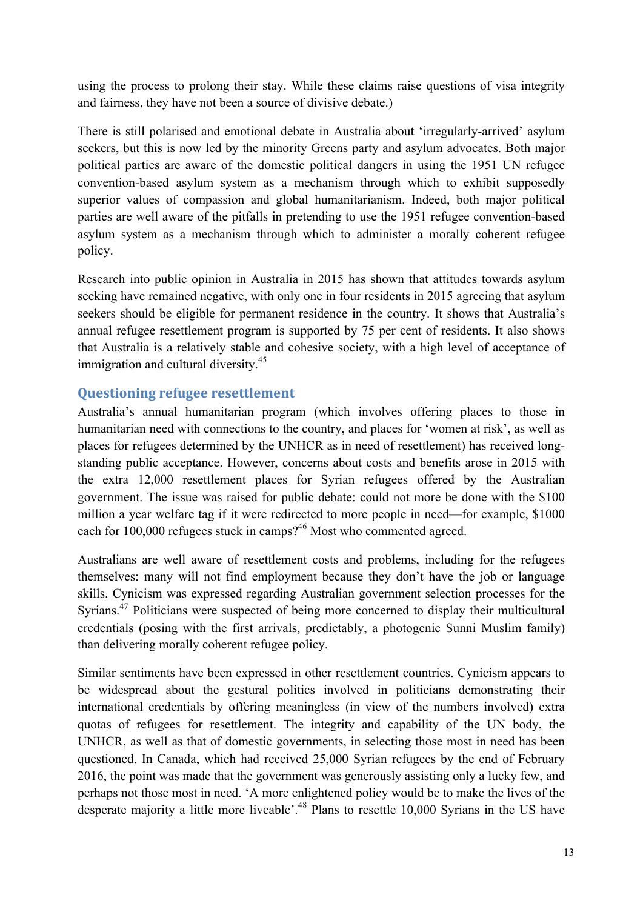using the process to prolong their stay. While these claims raise questions of visa integrity and fairness, they have not been a source of divisive debate.)

There is still polarised and emotional debate in Australia about 'irregularly-arrived' asylum seekers, but this is now led by the minority Greens party and asylum advocates. Both major political parties are aware of the domestic political dangers in using the 1951 UN refugee convention-based asylum system as a mechanism through which to exhibit supposedly superior values of compassion and global humanitarianism. Indeed, both major political parties are well aware of the pitfalls in pretending to use the 1951 refugee convention-based asylum system as a mechanism through which to administer a morally coherent refugee policy.

Research into public opinion in Australia in 2015 has shown that attitudes towards asylum seeking have remained negative, with only one in four residents in 2015 agreeing that asylum seekers should be eligible for permanent residence in the country. It shows that Australia's annual refugee resettlement program is supported by 75 per cent of residents. It also shows that Australia is a relatively stable and cohesive society, with a high level of acceptance of immigration and cultural diversity.<sup>45</sup>

# **Questioning refugee resettlement**

Australia's annual humanitarian program (which involves offering places to those in humanitarian need with connections to the country, and places for 'women at risk', as well as places for refugees determined by the UNHCR as in need of resettlement) has received longstanding public acceptance. However, concerns about costs and benefits arose in 2015 with the extra 12,000 resettlement places for Syrian refugees offered by the Australian government. The issue was raised for public debate: could not more be done with the \$100 million a year welfare tag if it were redirected to more people in need—for example, \$1000 each for 100,000 refugees stuck in camps?<sup>46</sup> Most who commented agreed.

Australians are well aware of resettlement costs and problems, including for the refugees themselves: many will not find employment because they don't have the job or language skills. Cynicism was expressed regarding Australian government selection processes for the Syrians.<sup>47</sup> Politicians were suspected of being more concerned to display their multicultural credentials (posing with the first arrivals, predictably, a photogenic Sunni Muslim family) than delivering morally coherent refugee policy.

Similar sentiments have been expressed in other resettlement countries. Cynicism appears to be widespread about the gestural politics involved in politicians demonstrating their international credentials by offering meaningless (in view of the numbers involved) extra quotas of refugees for resettlement. The integrity and capability of the UN body, the UNHCR, as well as that of domestic governments, in selecting those most in need has been questioned. In Canada, which had received 25,000 Syrian refugees by the end of February 2016, the point was made that the government was generously assisting only a lucky few, and perhaps not those most in need. 'A more enlightened policy would be to make the lives of the desperate majority a little more liveable'.<sup>48</sup> Plans to resettle 10,000 Syrians in the US have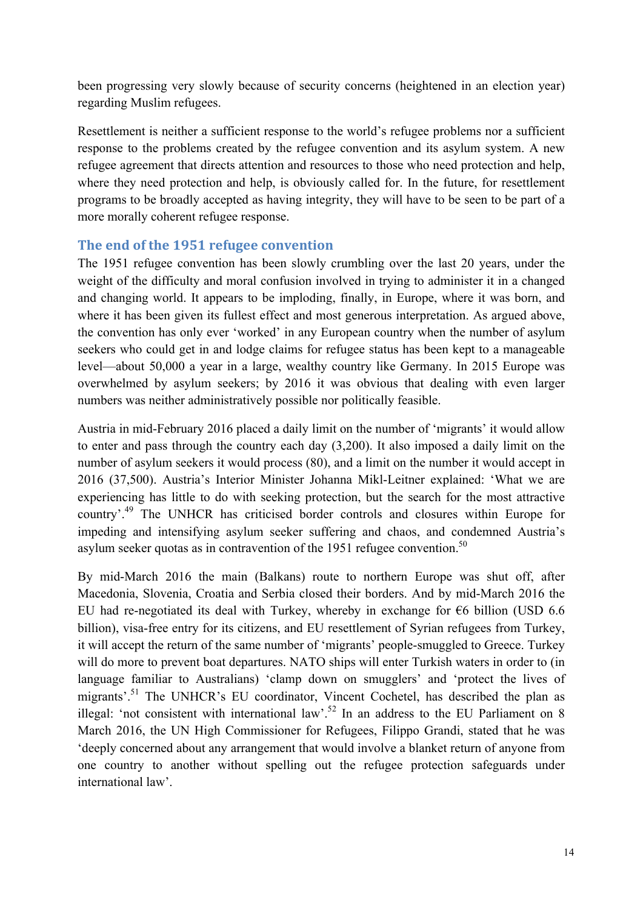been progressing very slowly because of security concerns (heightened in an election year) regarding Muslim refugees.

Resettlement is neither a sufficient response to the world's refugee problems nor a sufficient response to the problems created by the refugee convention and its asylum system. A new refugee agreement that directs attention and resources to those who need protection and help, where they need protection and help, is obviously called for. In the future, for resettlement programs to be broadly accepted as having integrity, they will have to be seen to be part of a more morally coherent refugee response.

#### The end of the 1951 refugee convention

The 1951 refugee convention has been slowly crumbling over the last 20 years, under the weight of the difficulty and moral confusion involved in trying to administer it in a changed and changing world. It appears to be imploding, finally, in Europe, where it was born, and where it has been given its fullest effect and most generous interpretation. As argued above, the convention has only ever 'worked' in any European country when the number of asylum seekers who could get in and lodge claims for refugee status has been kept to a manageable level—about 50,000 a year in a large, wealthy country like Germany. In 2015 Europe was overwhelmed by asylum seekers; by 2016 it was obvious that dealing with even larger numbers was neither administratively possible nor politically feasible.

Austria in mid-February 2016 placed a daily limit on the number of 'migrants' it would allow to enter and pass through the country each day (3,200). It also imposed a daily limit on the number of asylum seekers it would process (80), and a limit on the number it would accept in 2016 (37,500). Austria's Interior Minister Johanna Mikl-Leitner explained: 'What we are experiencing has little to do with seeking protection, but the search for the most attractive country'.<sup>49</sup> The UNHCR has criticised border controls and closures within Europe for impeding and intensifying asylum seeker suffering and chaos, and condemned Austria's asylum seeker quotas as in contravention of the 1951 refugee convention.<sup>50</sup>

By mid-March 2016 the main (Balkans) route to northern Europe was shut off, after Macedonia, Slovenia, Croatia and Serbia closed their borders. And by mid-March 2016 the EU had re-negotiated its deal with Turkey, whereby in exchange for  $\epsilon$ 6 billion (USD 6.6) billion), visa-free entry for its citizens, and EU resettlement of Syrian refugees from Turkey, it will accept the return of the same number of 'migrants' people-smuggled to Greece. Turkey will do more to prevent boat departures. NATO ships will enter Turkish waters in order to (in language familiar to Australians) 'clamp down on smugglers' and 'protect the lives of migrants'.<sup>51</sup> The UNHCR's EU coordinator, Vincent Cochetel, has described the plan as illegal: 'not consistent with international law'.<sup>52</sup> In an address to the EU Parliament on 8 March 2016, the UN High Commissioner for Refugees, Filippo Grandi, stated that he was 'deeply concerned about any arrangement that would involve a blanket return of anyone from one country to another without spelling out the refugee protection safeguards under international law'.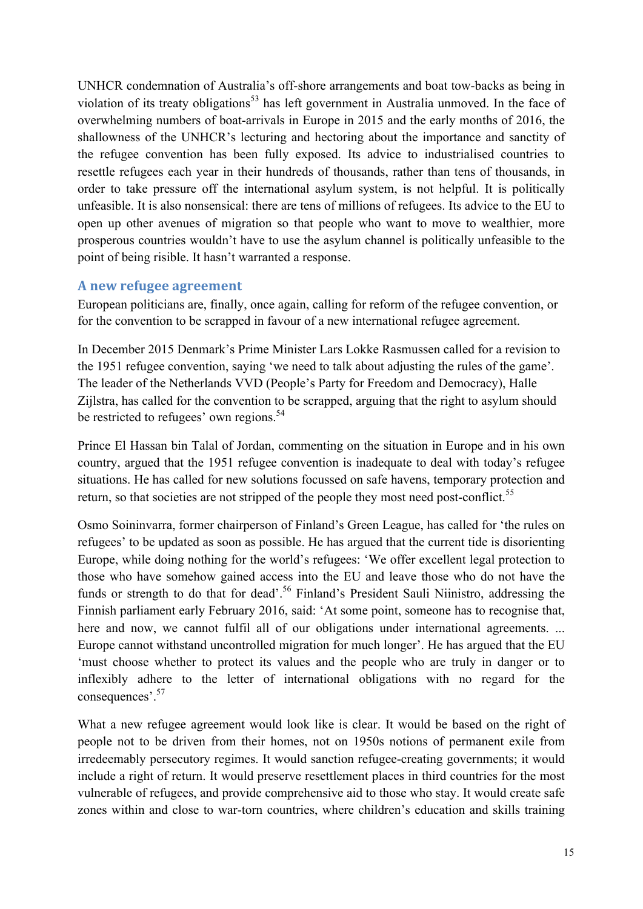UNHCR condemnation of Australia's off-shore arrangements and boat tow-backs as being in violation of its treaty obligations<sup>53</sup> has left government in Australia unmoved. In the face of overwhelming numbers of boat-arrivals in Europe in 2015 and the early months of 2016, the shallowness of the UNHCR's lecturing and hectoring about the importance and sanctity of the refugee convention has been fully exposed. Its advice to industrialised countries to resettle refugees each year in their hundreds of thousands, rather than tens of thousands, in order to take pressure off the international asylum system, is not helpful. It is politically unfeasible. It is also nonsensical: there are tens of millions of refugees. Its advice to the EU to open up other avenues of migration so that people who want to move to wealthier, more prosperous countries wouldn't have to use the asylum channel is politically unfeasible to the point of being risible. It hasn't warranted a response.

#### **A new refugee agreement**

European politicians are, finally, once again, calling for reform of the refugee convention, or for the convention to be scrapped in favour of a new international refugee agreement.

In December 2015 Denmark's Prime Minister Lars Lokke Rasmussen called for a revision to the 1951 refugee convention, saying 'we need to talk about adjusting the rules of the game'. The leader of the Netherlands VVD (People's Party for Freedom and Democracy), Halle Zijlstra, has called for the convention to be scrapped, arguing that the right to asylum should be restricted to refugees' own regions.<sup>54</sup>

Prince El Hassan bin Talal of Jordan, commenting on the situation in Europe and in his own country, argued that the 1951 refugee convention is inadequate to deal with today's refugee situations. He has called for new solutions focussed on safe havens, temporary protection and return, so that societies are not stripped of the people they most need post-conflict.<sup>55</sup>

Osmo Soininvarra, former chairperson of Finland's Green League, has called for 'the rules on refugees' to be updated as soon as possible. He has argued that the current tide is disorienting Europe, while doing nothing for the world's refugees: 'We offer excellent legal protection to those who have somehow gained access into the EU and leave those who do not have the funds or strength to do that for dead'.<sup>56</sup> Finland's President Sauli Niinistro, addressing the Finnish parliament early February 2016, said: 'At some point, someone has to recognise that, here and now, we cannot fulfil all of our obligations under international agreements. ... Europe cannot withstand uncontrolled migration for much longer'. He has argued that the EU 'must choose whether to protect its values and the people who are truly in danger or to inflexibly adhere to the letter of international obligations with no regard for the consequences'. 57

What a new refugee agreement would look like is clear. It would be based on the right of people not to be driven from their homes, not on 1950s notions of permanent exile from irredeemably persecutory regimes. It would sanction refugee-creating governments; it would include a right of return. It would preserve resettlement places in third countries for the most vulnerable of refugees, and provide comprehensive aid to those who stay. It would create safe zones within and close to war-torn countries, where children's education and skills training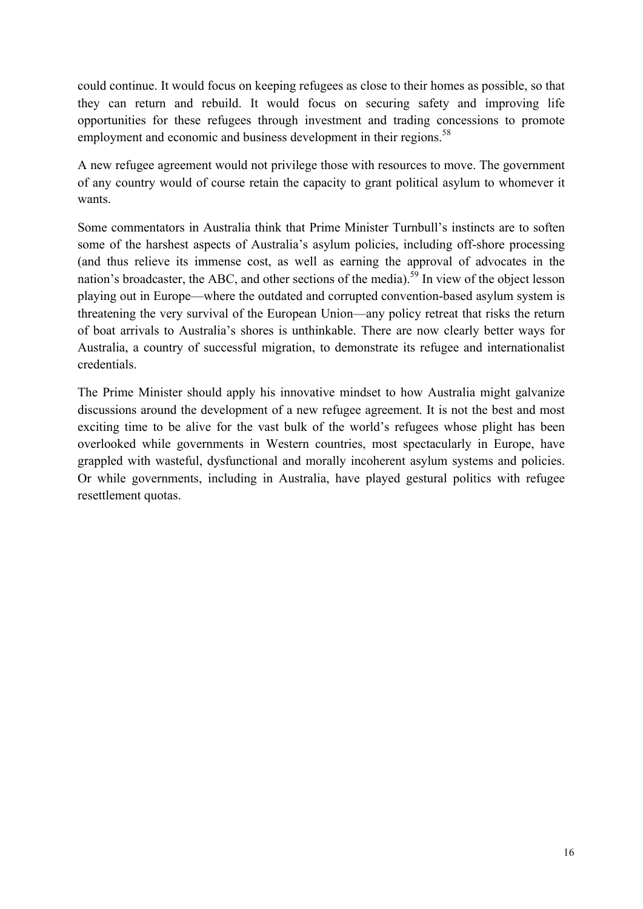could continue. It would focus on keeping refugees as close to their homes as possible, so that they can return and rebuild. It would focus on securing safety and improving life opportunities for these refugees through investment and trading concessions to promote employment and economic and business development in their regions.<sup>58</sup>

A new refugee agreement would not privilege those with resources to move. The government of any country would of course retain the capacity to grant political asylum to whomever it wants.

Some commentators in Australia think that Prime Minister Turnbull's instincts are to soften some of the harshest aspects of Australia's asylum policies, including off-shore processing (and thus relieve its immense cost, as well as earning the approval of advocates in the nation's broadcaster, the ABC, and other sections of the media).<sup>59</sup> In view of the object lesson playing out in Europe—where the outdated and corrupted convention-based asylum system is threatening the very survival of the European Union—any policy retreat that risks the return of boat arrivals to Australia's shores is unthinkable. There are now clearly better ways for Australia, a country of successful migration, to demonstrate its refugee and internationalist credentials.

The Prime Minister should apply his innovative mindset to how Australia might galvanize discussions around the development of a new refugee agreement. It is not the best and most exciting time to be alive for the vast bulk of the world's refugees whose plight has been overlooked while governments in Western countries, most spectacularly in Europe, have grappled with wasteful, dysfunctional and morally incoherent asylum systems and policies. Or while governments, including in Australia, have played gestural politics with refugee resettlement quotas.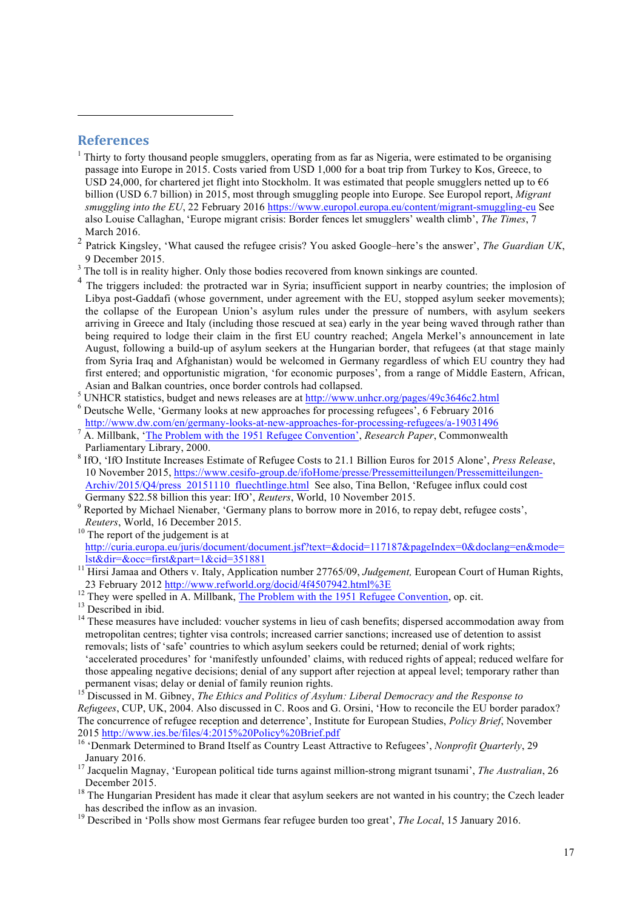#### **References**

 $\overline{a}$ 

- $<sup>1</sup>$  Thirty to forty thousand people smugglers, operating from as far as Nigeria, were estimated to be organising</sup> passage into Europe in 2015. Costs varied from USD 1,000 for a boat trip from Turkey to Kos, Greece, to USD 24,000, for chartered jet flight into Stockholm. It was estimated that people smugglers netted up to  $66$ billion (USD 6.7 billion) in 2015, most through smuggling people into Europe. See Europol report, *Migrant smuggling into the EU*, 22 February 2016 https://www.europol.europa.eu/content/migrant-smuggling-eu See also Louise Callaghan, 'Europe migrant crisis: Border fences let smugglers' wealth climb', *The Times*, 7 March 2016.
- <sup>2</sup> Patrick Kingsley, 'What caused the refugee crisis? You asked Google–here's the answer', *The Guardian UK*,
- 9 December 2015. <sup>3</sup> The toll is in reality higher. Only those bodies recovered from known sinkings are counted.
- The triggers included: the protracted war in Syria; insufficient support in nearby countries; the implosion of Libya post-Gaddafi (whose government, under agreement with the EU, stopped asylum seeker movements); the collapse of the European Union's asylum rules under the pressure of numbers, with asylum seekers arriving in Greece and Italy (including those rescued at sea) early in the year being waved through rather than being required to lodge their claim in the first EU country reached; Angela Merkel's announcement in late August, following a build-up of asylum seekers at the Hungarian border, that refugees (at that stage mainly from Syria Iraq and Afghanistan) would be welcomed in Germany regardless of which EU country they had first entered; and opportunistic migration, 'for economic purposes', from a range of Middle Eastern, African,
- <sup>5</sup> UNHCR statistics, budget and news releases are at http://www.unhcr.org/pages/49c3646c2.html<br><sup>6</sup> Deutsche Welle, 'Germany looks at new approaches for processing refugees', 6 February 2016<br>http://www.dw.com/en/germany-lo
- 
- 
- A. Millbank, '<u>The Problem with the 1951 Refugee Convention'</u>, *Research Paper*, Commonwealth<br>Parliamentary Library, 2000.
- <sup>8</sup> IfO, 'IfO Institute Increases Estimate of Refugee Costs to 21.1 Billion Euros for 2015 Alone', *Press Release*, 10 November 2015, https://www.cesifo-group.de/ifoHome/presse/Pressemitteilungen/Pressemitteilungen-Archiv/2015/Q4/press\_20151110\_fluechtlinge.html See also, Tina Bellon, 'Refugee influx could cost Germany \$22.58 billion this year: IfO', Reuters, World, 10 November 2015.
- <sup>9</sup> Reported by Michael Nienaber, 'Germany plans to borrow more in 2016, to repay debt, refugee costs',
- *Reuters*, World, 16 December 2015.<br><sup>10</sup> The report of the judgement is at http://curia.europa.eu/juris/document/document.jsf?text=&docid=117187&pageIndex=0&doclang=en&mode=
- lst&dir=&occ=first&part=1&cid=351881 <sup>11</sup> Hirsi Jamaa and Others v. Italy, Application number 27765/09, *Judgement,* European Court of Human Rights,
- 

<sup>12</sup> They were spelled in A. Millbank, <u>The Problem with the 1951 Refugee Convention</u>, op. cit.<br><sup>13</sup> Described in ibid.<br><sup>14</sup> These measures have included: voucher systems in lieu of cash benefits; dispersed accommodation metropolitan centres; tighter visa controls; increased carrier sanctions; increased use of detention to assist removals; lists of 'safe' countries to which asylum seekers could be returned; denial of work rights; 'accelerated procedures' for 'manifestly unfounded' claims, with reduced rights of appeal; reduced welfare for those appealing negative decisions; denial of any support after rejection at appeal level; temporary rather than permanent visas; delay or denial of family reunion rights.<br><sup>15</sup> Discussed in M. Gibney, *The Ethics and Politics of Asylum: Liberal Democracy and the Response to* 

*Refugees*, CUP, UK, 2004. Also discussed in C. Roos and G. Orsini, 'How to reconcile the EU border paradox? The concurrence of refugee reception and deterrence', Institute for European Studies, *Policy Brief*, November

- <sup>16</sup> 'Denmark Determined to Brand Itself as Country Least Attractive to Refugees', *Nonprofit Quarterly*, 29 January 2016. <sup>17</sup> Jacquelin Magnay, 'European political tide turns against million-strong migrant tsunami', *The Australian*, 26
- 
- December 2015.<br><sup>18</sup> The Hungarian President has made it clear that asylum seekers are not wanted in his country; the Czech leader<br>has described the inflow as an invasion.
- <sup>19</sup> Described in 'Polls show most Germans fear refugee burden too great', *The Local*, 15 January 2016.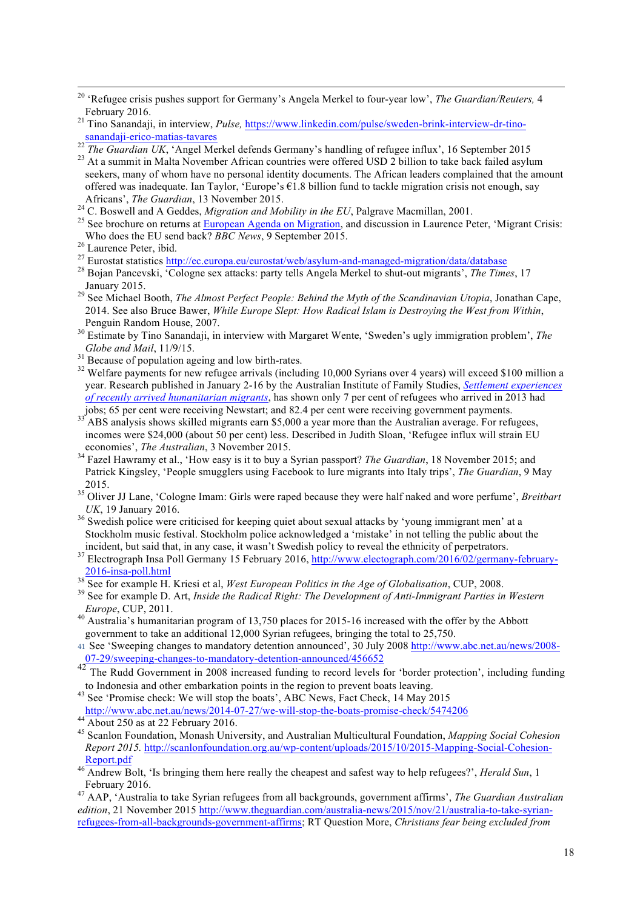seekers, many of whom have no personal identity documents. The African leaders complained that the amount offered was inadequate. Ian Taylor, 'Europe's  $\epsilon$ 1.8 billion fund to tackle migration crisis not enough, say

- 
- Africans', *The Guardian*, 13 November 2015.<br><sup>24</sup> C. Boswell and A Geddes, *Migration and Mobility in the EU*, Palgrave Macmillan, 2001.<br><sup>25</sup> See brochure on returns at <u>European Agenda on Migration</u>, and discussion in Lau
- 

- 
- January 2015. <sup>29</sup> See Michael Booth, *The Almost Perfect People: Behind the Myth of the Scandinavian Utopia*, Jonathan Cape, 2014. See also Bruce Bawer, *While Europe Slept: How Radical Islam is Destroying the West from Within*, Penguin Random House, 2007. <sup>30</sup> Estimate by Tino Sanandaji, in interview with Margaret Wente, 'Sweden's ugly immigration problem', *The*
- *Globe and Mail*, 11/9/15.<br><sup>31</sup> Because of population ageing and low birth-rates.<br><sup>32</sup> Welfare payments for new refugee arrivals (including 10,000 Syrians over 4 years) will exceed \$100 million a
- 
- year. Research published in January 2-16 by the Australian Institute of Family Studies, *Settlement experiences of recently arrived humanitarian migrants*, has shown only 7 per cent of refugees who arrived in 2013 had jobs; 65 per cent were receiving Newstart; and 82.4 per cent were receiving government payments.<br><sup>33</sup> ABS analysis shows skilled migrants earn \$5,000 a year more than the Australian average. For refugees,
- incomes were \$24,000 (about 50 per cent) less. Described in Judith Sloan, 'Refugee influx will strain EU economies', The Australian, 3 November 2015.
- <sup>34</sup> Fazel Hawramy et al., 'How easy is it to buy a Syrian passport? *The Guardian*, 18 November 2015; and Patrick Kingsley, 'People smugglers using Facebook to lure migrants into Italy trips', *The Guardian*, 9 May
- 2015. <sup>35</sup> Oliver JJ Lane, 'Cologne Imam: Girls were raped because they were half naked and wore perfume', *Breitbart UK*, 19 January 2016.<br><sup>36</sup> Swedish police were criticised for keeping quiet about sexual attacks by 'young immigrant men' at a
- Stockholm music festival. Stockholm police acknowledged a 'mistake' in not telling the public about the

- 
- *Europe*, CUP, 2011.<br><sup>40</sup> Australia's humanitarian program of 13,750 places for 2015-16 increased with the offer by the Abbott
- government to take an additional 12,000 Syrian refugees, bringing the total to 25,750.

41 See 'Sweeping changes to mandatory detention announced', 30 July 2008 http://www.abc.net.au/news/2008- 07-29/sweeping-changes-to-mandatory-detention-announced/456652

- 42<br>The Rudd Government in 2008 increased funding to record levels for 'border protection', including funding<br>to Indonesia and other embarkation points in the region to prevent boats leaving.
- <sup>43</sup> See 'Promise check: We will stop the boats', ABC News, Fact Check, 14 May 2015 http://www.abc.net.au/news/2014-07-27/we-will-stop-the-boats-promise-check/5474206<br>
44 About 250 as at 22 February 2016.<br>
<sup>45</sup> Scanlon Foundation, Monash University, and Australian Multicultural Foundation, *Mapping Social*
- 
- *Report 2015.* http://scanlonfoundation.org.au/wp-content/uploads/2015/10/2015-Mapping-Social-Cohesion-Report.pdf <sup>46</sup> Andrew Bolt, 'Is bringing them here really the cheapest and safest way to help refugees?', *Herald Sun*, 1
- February 2016. <sup>47</sup> AAP, 'Australia to take Syrian refugees from all backgrounds, government affirms', *The Guardian Australian*

*edition*, 21 November 2015 http://www.theguardian.com/australia-news/2015/nov/21/australia-to-take-syrianrefugees-from-all-backgrounds-government-affirms; RT Question More, *Christians fear being excluded from* 

 <sup>20</sup> 'Refugee crisis pushes support for Germany's Angela Merkel to four-year low', *The Guardian/Reuters,* <sup>4</sup> February 2016. <sup>21</sup> Tino Sanandaji, in interview, *Pulse,* https://www.linkedin.com/pulse/sweden-brink-interview-dr-tino-

 $\frac{\text{sanandaji-erico-matias-tavares}}{\text{22 The Guardian UK, 'Angel Merkel defends Germany's handling of refugee influx', 16 September 2015}}$   $\frac{\text{23 At a summit in Malta November African countries were offered USD 2 billion to take back failed asymmetry}}{\text{24 At a summit in Malta November African countries were offered USD 2 billion to take back failed asymmetry}}$ 

<sup>&</sup>lt;sup>26</sup> Laurence Peter, ibid.<br><sup>27</sup> Eurostat statistics http://ec.europa.eu/eurostat/web/asylum-and-managed-migration/data/database<br><sup>27</sup> Eurostat statistics http://ec.europa.eu/eurostat/web/asylum-and-managed-migration/data/da

incident, but said that, in any case, it wasn't Swedish policy to reveal the ethnicity of perpetrators.<br><sup>37</sup> Electrograph Insa Poll Germany 15 February 2016, http://www.electograph.com/2016/02/germany-february- $\frac{2016 \text{ -insa-poll.html}}{88}$  See for example H. Kriesi et al, *West European Politics in the Age of Globalisation*, CUP, 2008.<br><sup>39</sup> See for example D. Art, *Inside the Radical Right: The Development of Anti-Immigrant Parties i*